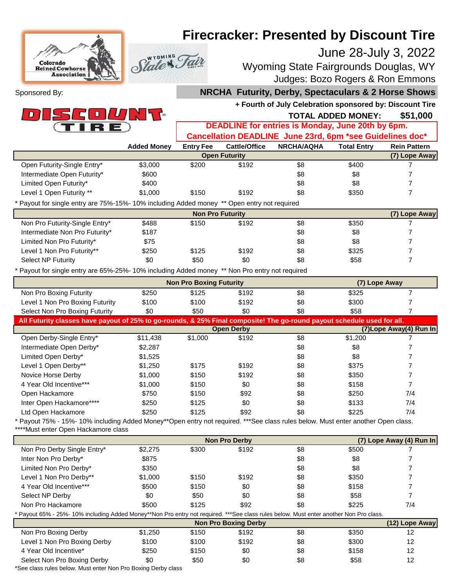# Colorado **Reined Cowhors Association**

## **Firecracker: Presented by Discount Tire**

### June 28-July 3, 2022

Wyoming State Fairgrounds Douglas, WY Judges: Bozo Rogers & Ron Emmons

Sponsored By:



### **NRCHA Futurity, Derby, Spectaculars & 2 Horse Shows**

**+ Fourth of July Celebration sponsored by: Discount Tire**

#### **\$51,000 TOTAL ADDED MONEY: DEADLINE for entries is Monday, June 20th by 6pm. Cancellation DEADLINE June 23rd, 6pm \*see Guidelines doc\***

|                             | <b>Vanchanon DEADERTE Vanc Zora, Opini 300 Odiucinics doc</b> |                  |                      |                   |                    |                     |
|-----------------------------|---------------------------------------------------------------|------------------|----------------------|-------------------|--------------------|---------------------|
|                             | <b>Added Monev</b>                                            | <b>Entry Fee</b> | Cattle/Office        | <b>NRCHA/AQHA</b> | <b>Total Entry</b> | <b>Rein Pattern</b> |
|                             |                                                               |                  | <b>Open Futurity</b> |                   |                    | (7) Lope Away       |
| Open Futurity-Single Entry* | \$3,000                                                       | \$200            | \$192                | \$8               | \$400              |                     |
| Intermediate Open Futurity* | \$600                                                         |                  |                      | \$8               | \$8                |                     |
| Limited Open Futurity*      | \$400                                                         |                  |                      | \$8               | \$8                |                     |
| Level 1 Open Futurity **    | \$1,000                                                       | \$150            | \$192                | \$8               | \$350              |                     |
|                             |                                                               |                  |                      |                   |                    |                     |

\* Payout for single entry are 75%-15%- 10% including Added money \*\* Open entry not required

State & T

| <b>Non Pro Futurity</b>        |       |       |       |     |       |  |
|--------------------------------|-------|-------|-------|-----|-------|--|
| Non Pro Futurity-Single Entry* | \$488 | \$150 | \$192 | \$8 | \$350 |  |
| Intermediate Non Pro Futurity* | \$187 |       |       | \$8 | \$8   |  |
| Limited Non Pro Futurity*      | \$75  |       |       | \$8 | \$8   |  |
| Level 1 Non Pro Futurity**     | \$250 | \$125 | \$192 | \$8 | \$325 |  |
| Select NP Futurity             | \$0   | \$50  | \$0   | \$8 | \$58  |  |
|                                |       |       |       |     |       |  |

\* Payout for single entry are 65%-25%- 10% including Added money \*\* Non Pro entry not required

|                                                                                                                         |          | <b>Non Pro Boxing Futurity</b> | (7) Lope Away     |     |         |                          |  |
|-------------------------------------------------------------------------------------------------------------------------|----------|--------------------------------|-------------------|-----|---------|--------------------------|--|
| Non Pro Boxing Futurity                                                                                                 | \$250    | \$125                          | \$192             | \$8 | \$325   |                          |  |
| Level 1 Non Pro Boxing Futurity                                                                                         | \$100    | \$100                          | \$192             | \$8 | \$300   |                          |  |
| Select Non Pro Boxing Futurity                                                                                          | \$0      | \$50                           | \$0               | \$8 | \$58    |                          |  |
| All Futurity classes have payout of 25% to go-rounds, & 25% Final composite! The go-round payout schedule used for all. |          |                                |                   |     |         |                          |  |
|                                                                                                                         |          |                                | <b>Open Derby</b> |     |         | (7) Lope Away (4) Run In |  |
| Open Derby-Single Entry*                                                                                                | \$11,438 | \$1,000                        | \$192             | \$8 | \$1,200 |                          |  |
| Intermediate Open Derby*                                                                                                | \$2,287  |                                |                   | \$8 | \$8     |                          |  |
| Limited Open Derby*                                                                                                     | \$1,525  |                                |                   | \$8 | \$8     |                          |  |
| Level 1 Open Derby**                                                                                                    | \$1,250  | \$175                          | \$192             | \$8 | \$375   |                          |  |
| Novice Horse Derby                                                                                                      | \$1,000  | \$150                          | \$192             | \$8 | \$350   |                          |  |
| 4 Year Old Incentive***                                                                                                 | \$1,000  | \$150                          | \$0               | \$8 | \$158   |                          |  |
| Open Hackamore                                                                                                          | \$750    | \$150                          | \$92              | \$8 | \$250   | 7/4                      |  |
| Inter Open Hackamore****                                                                                                | \$250    | \$125                          | \$0               | \$8 | \$133   | 7/4                      |  |
| Ltd Open Hackamore                                                                                                      | \$250    | \$125                          | \$92              | \$8 | \$225   | 7/4                      |  |
|                                                                                                                         |          |                                |                   |     |         |                          |  |

Payout 75% - 15% - 10% including Added Money\*\*Open entry not required. \*\*\*See class rules below. Must enter another Open class. \*\*\*\*Must enter Open Hackamore class

| <b>Non Pro Derby</b>                                                                                                                   |         |       |                             |     |       | (7) Lope Away (4) Run In |
|----------------------------------------------------------------------------------------------------------------------------------------|---------|-------|-----------------------------|-----|-------|--------------------------|
| Non Pro Derby Single Entry*                                                                                                            | \$2,275 | \$300 | \$192                       | \$8 | \$500 |                          |
| Inter Non Pro Derby*                                                                                                                   | \$875   |       |                             | \$8 | \$8   |                          |
| Limited Non Pro Derby*                                                                                                                 | \$350   |       |                             | \$8 | \$8   |                          |
| Level 1 Non Pro Derby**                                                                                                                | \$1,000 | \$150 | \$192                       | \$8 | \$350 |                          |
| 4 Year Old Incentive***                                                                                                                | \$500   | \$150 | \$0                         | \$8 | \$158 |                          |
| Select NP Derby                                                                                                                        | \$0     | \$50  | \$0                         | \$8 | \$58  |                          |
| Non Pro Hackamore                                                                                                                      | \$500   | \$125 | \$92                        | \$8 | \$225 | 7/4                      |
| * Payout 65% - 25%- 10% including Added Money**Non Pro entry not required. ***See class rules below. Must enter another Non Pro class. |         |       |                             |     |       |                          |
|                                                                                                                                        |         |       | <b>Non Pro Boxing Derby</b> |     |       | (12) Lope Away           |
| Non Pro Boxing Derby                                                                                                                   | \$1,250 | \$150 | \$192                       | \$8 | \$350 | 12                       |
| Level 1 Non Pro Boxing Derby                                                                                                           | \$100   | \$100 | \$192                       | \$8 | \$300 | 12                       |
| 4 Year Old Incentive*                                                                                                                  | \$250   | \$150 | \$0                         | \$8 | \$158 | 12                       |
| Select Non Pro Boxing Derby                                                                                                            | \$0     | \$50  | \$0                         | \$8 | \$58  | 12                       |
| *Cas along rules halow, Must apter Nep Drs Daving Darby along                                                                          |         |       |                             |     |       |                          |

\*See class rules below. Must enter Non Pro Boxing Derby class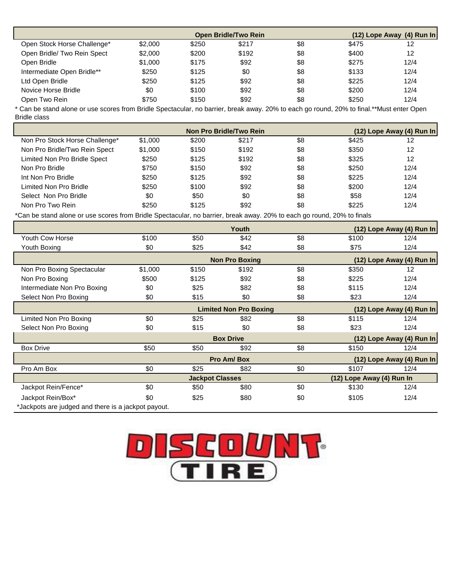|                             |         | <b>Open Bridle/Two Rein</b> | $(12)$ Lope Away $(4)$ Run In |     |       |      |
|-----------------------------|---------|-----------------------------|-------------------------------|-----|-------|------|
| Open Stock Horse Challenge* | \$2,000 | \$250                       | \$217                         | \$8 | \$475 | 12   |
| Open Bridle/ Two Rein Spect | \$2,000 | \$200                       | \$192                         | \$8 | \$400 | 12   |
| Open Bridle                 | \$1,000 | \$175                       | \$92                          | \$8 | \$275 | 12/4 |
| Intermediate Open Bridle**  | \$250   | \$125                       | \$0                           | \$8 | \$133 | 12/4 |
| Ltd Open Bridle             | \$250   | \$125                       | \$92                          | \$8 | \$225 | 12/4 |
| Novice Horse Bridle         | \$0     | \$100                       | \$92                          | \$8 | \$200 | 12/4 |
| Open Two Rein               | \$750   | \$150                       | \$92                          | \$8 | \$250 | 12/4 |

\* Can be stand alone or use scores from Bridle Spectacular, no barrier, break away. 20% to each go round, 20% to final.\*\*Must enter Open Bridle class

|                                |         | Non Pro Bridle/Two Rein | $(12)$ Lope Away (4) Run In |     |       |      |
|--------------------------------|---------|-------------------------|-----------------------------|-----|-------|------|
| Non Pro Stock Horse Challenge* | \$1,000 | \$200                   | \$217                       | \$8 | \$425 | 12   |
| Non Pro Bridle/Two Rein Spect  | \$1,000 | \$150                   | \$192                       | \$8 | \$350 | 12   |
| Limited Non Pro Bridle Spect   | \$250   | \$125                   | \$192                       | \$8 | \$325 | 12   |
| Non Pro Bridle                 | \$750   | \$150                   | \$92                        | \$8 | \$250 | 12/4 |
| Int Non Pro Bridle             | \$250   | \$125                   | \$92                        | \$8 | \$225 | 12/4 |
| Limited Non Pro Bridle         | \$250   | \$100                   | \$92                        | \$8 | \$200 | 12/4 |
| Select Non Pro Bridle          | \$0     | \$50                    | \$0                         | \$8 | \$58  | 12/4 |
| Non Pro Two Rein               | \$250   | \$125                   | \$92                        | \$8 | \$225 | 12/4 |

\*Can be stand alone or use scores from Bridle Spectacular, no barrier, break away. 20% to each go round, 20% to finals

|                                                     |         |                               | Youth                 |                           |                           | $(12)$ Lope Away (4) Run In |
|-----------------------------------------------------|---------|-------------------------------|-----------------------|---------------------------|---------------------------|-----------------------------|
| <b>Youth Cow Horse</b>                              | \$100   | \$50                          | \$42                  | \$8                       | \$100                     | 12/4                        |
| Youth Boxing                                        | \$0     | \$25                          | \$42                  | \$8                       | \$75                      | 12/4                        |
|                                                     |         |                               | <b>Non Pro Boxing</b> |                           |                           | (12) Lope Away (4) Run In   |
| Non Pro Boxing Spectacular                          | \$1,000 | \$150                         | \$192                 | \$8                       | \$350                     | 12                          |
| Non Pro Boxing                                      | \$500   | \$125                         | \$92                  | \$8                       | \$225                     | 12/4                        |
| Intermediate Non Pro Boxing                         | \$0     | \$25                          | \$82                  | \$8                       | \$115                     | 12/4                        |
| Select Non Pro Boxing                               | \$0     | \$15                          | \$0                   | \$8                       | \$23                      | 12/4                        |
|                                                     |         | <b>Limited Non Pro Boxing</b> |                       |                           | (12) Lope Away (4) Run In |                             |
| Limited Non Pro Boxing                              | \$0     | \$25                          | \$82                  | \$8                       | \$115                     | 12/4                        |
| Select Non Pro Boxing                               | \$0     | \$15                          | \$0                   | \$8                       | \$23                      | 12/4                        |
|                                                     |         |                               | <b>Box Drive</b>      |                           |                           | (12) Lope Away (4) Run In   |
| <b>Box Drive</b>                                    | \$50    | \$50                          | \$92                  | \$8                       | \$150                     | 12/4                        |
|                                                     |         |                               | Pro Am/Box            |                           |                           | (12) Lope Away (4) Run In   |
| Pro Am Box                                          | \$0     | \$25                          | \$82                  | \$0                       | \$107                     | 12/4                        |
|                                                     |         | <b>Jackpot Classes</b>        |                       | (12) Lope Away (4) Run In |                           |                             |
| Jackpot Rein/Fence*                                 | \$0     | \$50                          | \$80                  | \$0                       | \$130                     | 12/4                        |
| Jackpot Rein/Box*                                   | \$0     | \$25                          | \$80                  | \$0                       | \$105                     | 12/4                        |
| *Jackpots are judged and there is a jackpot payout. |         |                               |                       |                           |                           |                             |

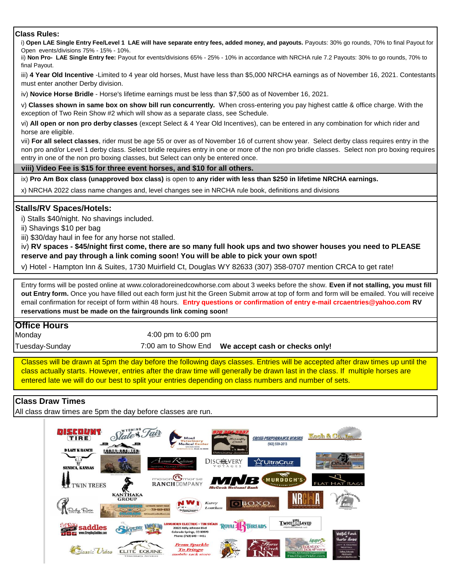#### **Class Rules:**

i) **Open LAE Single Entry Fee/Level 1 LAE will have separate entry fees, added money, and payouts.** Payouts: 30% go rounds, 70% to final Payout for Open events/divisions 75% - 15% - 10%.

ii) **Non Pro- LAE Single Entry fee:** Payout for events/divisions 65% - 25% - 10% in accordance with NRCHA rule 7.2 Payouts: 30% to go rounds, 70% to final Payout.

iii) **4 Year Old Incentive** -Limited to 4 year old horses, Must have less than \$5,000 NRCHA earnings as of November 16, 2021. Contestants must enter another Derby division.

iv) **Novice Horse Bridle** - Horse's lifetime earnings must be less than \$7,500 as of November 16, 2021.

v) **Classes shown in same box on show bill run concurrently.** When cross-entering you pay highest cattle & office charge. With the exception of Two Rein Show #2 which will show as a separate class, see Schedule.

vi) **All open or non pro derby classes** (except Select & 4 Year Old Incentives), can be entered in any combination for which rider and horse are eligible.

vii) **For all select classes**, rider must be age 55 or over as of November 16 of current show year. Select derby class requires entry in the non pro and/or Level 1 derby class. Select bridle requires entry in one or more of the non pro bridle classes. Select non pro boxing requires entry in one of the non pro boxing classes, but Select can only be entered once.

#### **viii) Video Fee is \$15 for three event horses, and \$10 for all others.**

ix) **Pro Am Box class (unapproved box class)** is open to **any rider with less than \$250 in lifetime NRCHA earnings.**

x) NRCHA 2022 class name changes and, level changes see in NRCHA rule book, definitions and divisions

#### **Stalls/RV Spaces/Hotels:**

i) Stalls \$40/night. No shavings included.

ii) Shavings \$10 per bag

iii) \$30/day haul in fee for any horse not stalled.

iv) **RV spaces - \$45/night first come, there are so many full hook ups and two shower houses you need to PLEASE reserve and pay through a link coming soon! You will be able to pick your own spot!** 

v) Hotel - Hampton Inn & Suites, 1730 Muirfield Ct, Douglas WY 82633 (307) 358-0707 mention CRCA to get rate!

Entry forms will be posted online at www.coloradoreinedcowhorse.com about 3 weeks before the show. **Even if not stalling, you must fill out Entry form.** Once you have filled out each form just hit the Green Submit arrow at top of form and form will be emailed. You will receive email confirmation for receipt of form within 48 hours. **Entry questions or confirmation of entry e-mail crcaentries@yahoo.com RV reservations must be made on the fairgrounds link coming soon!**

#### **Office Hours**

**Monday** 

4:00 pm to 6:00 pm

Tuesday-Sunday

7:00 am to Show End **We accept cash or checks only!**

Classes will be drawn at 5pm the day before the following days classes. Entries will be accepted after draw times up until the class actually starts. However, entries after the draw time will generally be drawn last in the class. If multiple horses are entered late we will do our best to split your entries depending on class numbers and number of sets.

#### **Class Draw Times**

All class draw times are 5pm the day before classes are run.